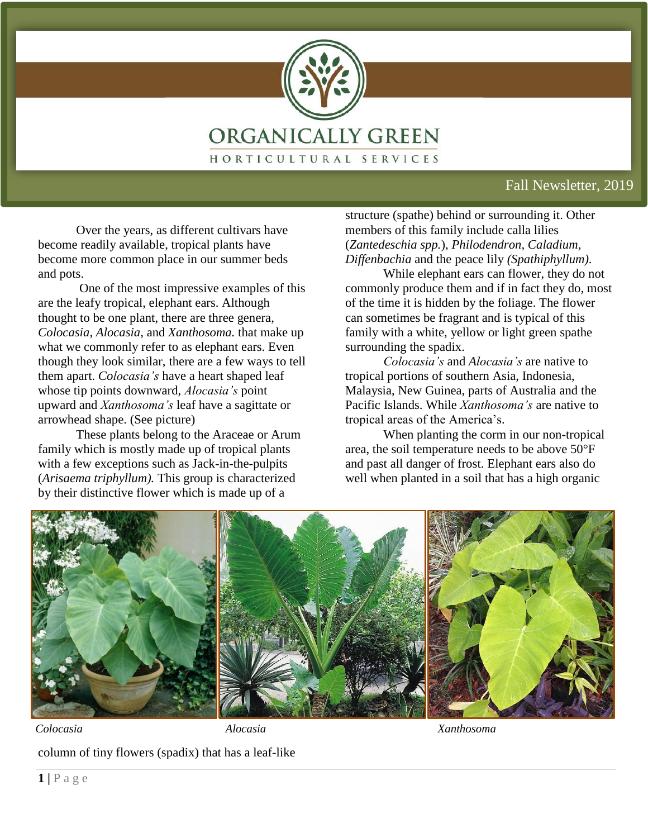

#### Fall Newsletter, 2019

Over the years, as different cultivars have become readily available, tropical plants have become more common place in our summer beds and pots.

One of the most impressive examples of this are the leafy tropical, elephant ears. Although thought to be one plant, there are three genera, *Colocasia*, *Alocasia*, and *Xanthosoma.* that make up what we commonly refer to as elephant ears. Even though they look similar, there are a few ways to tell them apart. *Colocasia's* have a heart shaped leaf whose tip points downward, *Alocasia's* point upward and *Xanthosoma's* leaf have a sagittate or arrowhead shape. (See picture)

These plants belong to the Araceae or Arum family which is mostly made up of tropical plants with a few exceptions such as Jack-in-the-pulpits (*Arisaema triphyllum).* This group is characterized by their distinctive flower which is made up of a

structure (spathe) behind or surrounding it. Other members of this family include calla lilies (*[Zantedeschia](http://www.desert-tropicals.com/Plants/Araceae/Zantedeschia_aethiopica.jpg) spp.*), *Philodendron*, *Caladium, Diffenbachia* and the peace lily *(Spathiphyllum).*

While elephant ears can flower, they do not commonly produce them and if in fact they do, most of the time it is hidden by the foliage. The flower can sometimes be fragrant and is typical of this family with a white, yellow or light green spathe surrounding the spadix.

*Colocasia's* and *Alocasia's* are native to tropical portions of southern Asia, Indonesia, Malaysia, New Guinea, parts of Australia and the Pacific Islands. While *Xanthosoma's* are native to tropical areas of the America's.

When planting the corm in our non-tropical area, the soil temperature needs to be above 50°F and past all danger of frost. Elephant ears also do well when planted in a soil that has a high organic



*Colocasia Alocasia Xanthosoma*

column of tiny flowers (spadix) that has a leaf-like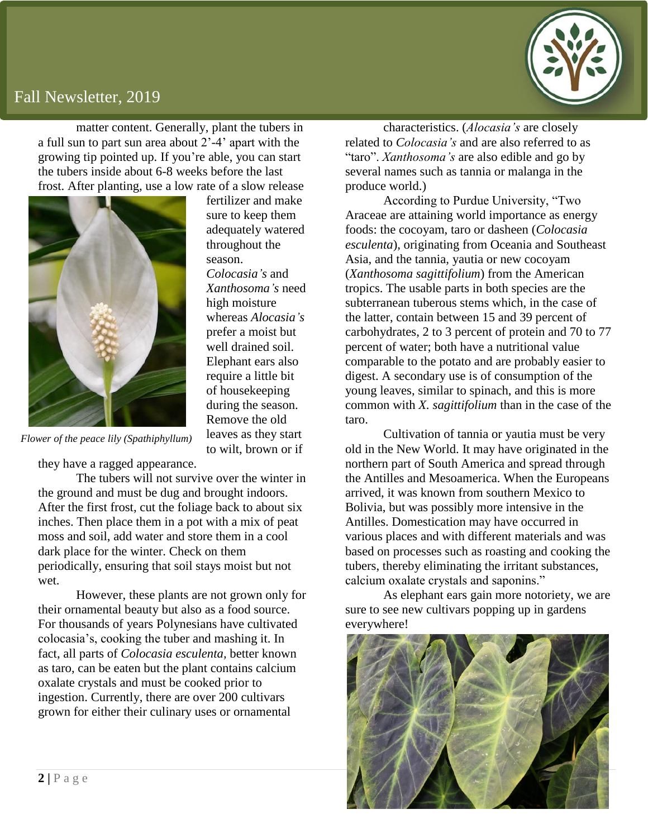#### Fall Newsletter, 2019

matter content. Generally, plant the tubers in a full sun to part sun area about 2'-4' apart with the growing tip pointed up. If you're able, you can start the tubers inside about 6-8 weeks before the last frost. After planting, use a low rate of a slow release



fertilizer and make sure to keep them adequately watered throughout the season. *Colocasia's* and *Xanthosoma's* need high moisture whereas *Alocasia's* prefer a moist but well drained soil. Elephant ears also require a little bit of housekeeping during the season. Remove the old leaves as they start to wilt, brown or if

*Flower of the peace lily (Spathiphyllum)*

they have a ragged appearance.

The tubers will not survive over the winter in the ground and must be dug and brought indoors. After the first frost, cut the foliage back to about six inches. Then place them in a pot with a mix of peat moss and soil, add water and store them in a cool dark place for the winter. Check on them periodically, ensuring that soil stays moist but not wet.

However, these plants are not grown only for their ornamental beauty but also as a food source. For thousands of years Polynesians have cultivated colocasia's, cooking the tuber and mashing it. In fact, all parts of *Colocasia esculenta,* better known as taro, can be eaten but the plant contains calcium oxalate crystals and must be cooked prior to ingestion. Currently, there are over 200 cultivars grown for either their culinary uses or ornamental

characteristics. (*Alocasia's* are closely related to *Colocasia's* and are also referred to as "taro". *Xanthosoma's* are also edible and go by several names such as tannia or malanga in the produce world.)

According to Purdue University, "Two Araceae are attaining world importance as energy foods: the cocoyam, taro or dasheen (*Colocasia esculenta*), originating from Oceania and Southeast Asia, and the tannia, yautia or new cocoyam (*Xanthosoma sagittifolium*) from the American tropics. The usable parts in both species are the subterranean tuberous stems which, in the case of the latter, contain between 15 and 39 percent of carbohydrates, 2 to 3 percent of protein and 70 to 77 percent of water; both have a nutritional value comparable to the potato and are probably easier to digest. A secondary use is of consumption of the young leaves, similar to spinach, and this is more common with *X. sagittifolium* than in the case of the taro.

Cultivation of tannia or yautia must be very old in the New World. It may have originated in the northern part of South America and spread through the Antilles and Mesoamerica. When the Europeans arrived, it was known from southern Mexico to Bolivia, but was possibly more intensive in the Antilles. Domestication may have occurred in various places and with different materials and was based on processes such as roasting and cooking the tubers, thereby eliminating the irritant substances, calcium oxalate crystals and saponins."

As elephant ears gain more notoriety, we are sure to see new cultivars popping up in gardens everywhere!